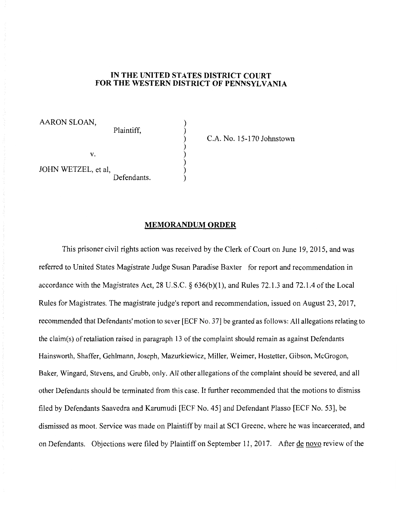## **IN THE UNITED STATES DISTRICT COURT FOR THE WESTERN DISTRICT OF PENNSYLVANIA**

) ) ) ) ) ) ) )

AARON SLOAN,

Plaintiff,

C.A. No. 15-170 Johnstown

v.

JOHN WETZEL, et al, Defendants.

## **MEMORANDUM ORDER**

This prisoner civil rights action was received by the Clerk of Court on June 19, 2015, and was referred to United States Magistrate Judge Susan Paradise Baxter for report and recommendation in accordance with the Magistrates Act, 28 U.S.C. § 636(b)(l), and Rules 72.1.3 and 72.1.4 of the Local Rules for Magistrates. The magistrate judge's report and recommendation, issued on August 23, 2017, recommended that Defendants' motion to sever [ECF No. 37] be granted as follows: All allegations relating to the claim(s) of retaliation raised in paragraph 13 of the complaint should remain as against Defendants Hainsworth, Shaffer, Gehlmann, Joseph, Mazurkiewicz, Miller, Weimer, Hostetter, Gibson, McGrogon, Baker, Wingard, Stevens, and Grubb, only. All other allegations of the complaint should be severed, and all other Defendants should be terminated from this case. It further recommended that the motions to dismiss filed by Defendants Saavedra and Karumudi [ECF No. 45] and Defendant Plasso [ECF No. 53], be dismissed as moot. Service was made on Plaintiff by mail at SCI Greene, where he was incarcerated, and on Defendants. Objections were filed by Plaintiff on September 11, 2017. After de novo review of the